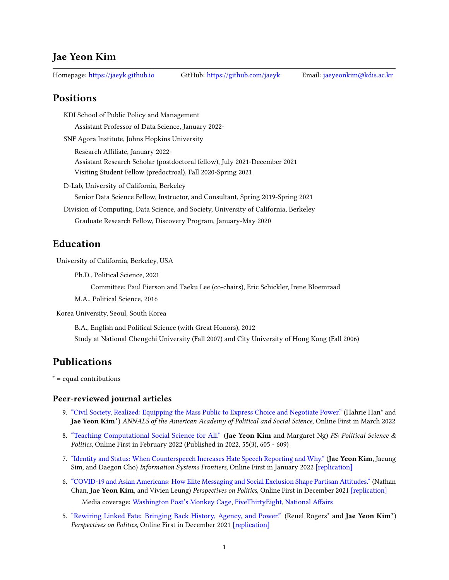### Jae Yeon Kim

Homepage: <https://jaeyk.github.io> GitHub: <https://github.com/jaeyk> Email: [jaeyeonkim@kdis.ac.kr](mailto:jaeyeonkim@kdis.ac.kr)

### **Positions**

KDI School of Public Policy and Management

Assistant Professor of Data Science, January 2022-

SNF Agora Institute, Johns Hopkins University

Research Affiliate, January 2022-Assistant Research Scholar (postdoctoral fellow), July 2021-December 2021

Visiting Student Fellow (predoctroal), Fall 2020-Spring 2021

D-Lab, University of California, Berkeley

Senior Data Science Fellow, Instructor, and Consultant, Spring 2019-Spring 2021

Division of Computing, Data Science, and Society, University of California, Berkeley Graduate Research Fellow, Discovery Program, January-May 2020

### Education

University of California, Berkeley, USA

Ph.D., Political Science, 2021

Committee: Paul Pierson and Taeku Lee (co-chairs), Eric Schickler, Irene Bloemraad

M.A., Political Science, 2016

Korea University, Seoul, South Korea

B.A., English and Political Science (with Great Honors), 2012 Study at National Chengchi University (Fall 2007) and City University of Hong Kong (Fall 2006)

# Publications

\* = equal contributions

#### Peer-reviewed journal articles

- 9. ["Civil Society, Realized: Equipping the Mass Public to Express Choice and Negotiate Power."](https://journals.sagepub.com/doi/full/10.1177/00027162221077471) (Hahrie Han\* and Jae Yeon Kim<sup>\*</sup>) ANNALS of the American Academy of Political and Social Science, Online First in March 2022
- 8. ["Teaching Computational Social Science for All."](https://www.cambridge.org/core/journals/ps-political-science-and-politics/article/abs/teaching-computational-social-science-for-all/66EAB886BCF21C647E2387051D6A9BEF) (Jae Yeon Kim and Margaret Ng) PS: Political Science & Politics, Online First in February 2022 (Published in 2022, 55(3), 605 - 609)
- 7. ["Identity and Status: When Counterspeech Increases Hate Speech Reporting and Why."](https://link.springer.com/article/10.1007/s10796-021-10229-2) (Jae Yeon Kim, Jaeung Sim, and Daegon Cho) Information Systems Frontiers, Online First in January 2022 [\[replication\]](https://github.com/jaeyk/status_identity_hate_speech_reporting)
- 6. ["COVID-19 and Asian Americans: How Elite Messaging and Social Exclusion Shape Partisan Attitudes."](https://t.co/4Axd0gEQns) (Nathan Chan, Jae Yeon Kim, and Vivien Leung) Perspectives on Politics, Online First in December 2021 [\[replication\]](https://github.com/jaeyk/covid19antiasian/) Media coverage: [Washington Post's Monkey Cage,](https://www.washingtonpost.com/politics/2021/03/30/thanks-trumps-rhetoric-asian-americans-are-moving-toward-democratic-party/?utm_campaign=wp_monkeycage&utm_medium=social&utm_source=twitter&tid=sm_tw_monkeycage) [FiveThirtyEight,](https://fivethirtyeight.com/features/why-the-recent-violence-against-asian-americans-may-solidify-their-support-of-democrats/) National Affairs
- 5. ["Rewiring Linked Fate: Bringing Back History, Agency, and Power."](https://www.cambridge.org/core/journals/perspectives-on-politics/article/rewiring-linked-fate-bringing-back-history-agency-and-power/CF08421CA51138DF922AB05F056E80B7) (Reuel Rogers\* and Jae Yeon Kim\*) Perspectives on Politics, Online First in December 2021 [\[replication\]](https://github.com/jaeyk/linked_fate_review/)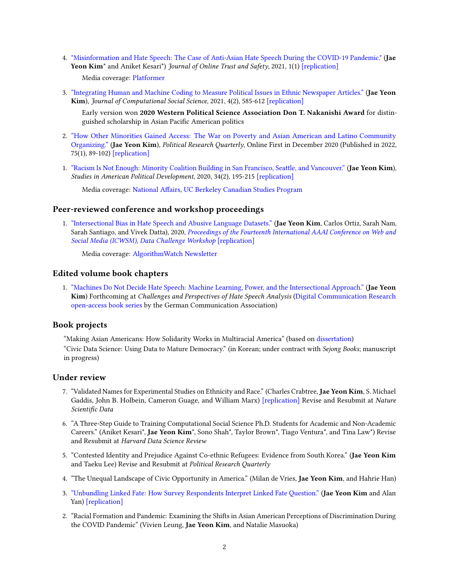4. ["Misinformation and Hate Speech: The Case of Anti-Asian Hate Speech During the COVID-19 Pandemic."](https://tsjournal.org/index.php/jots/article/view/13/5) (Jae Yeon Kim<sup>\*</sup> and Aniket Kesari<sup>\*</sup>) *Journal of Online Trust and Safety*, 2021, 1(1) [\[replication\]](https://github.com/jaeyk/asian_hate_misinformation)

Media coverage: [Platformer](https://www.platformer.news/p/facebook-goes-meta?token=eyJ1c2VyX2lkIjozMzg0MTczNywicG9zdF9pZCI6NDMyMjkzNDMsIl8iOiJ2N2ZkbyIsImlhdCI6MTYzNTQ3MDYyMiwiZXhwIjoxNjM1NDc0MjIyLCJpc3MiOiJwdWItNzk3NiIsInN1YiI6InBvc3QtcmVhY3Rpb24ifQ.NatoanH3afQoMUpac4xFjQK2nAWPF83TupLcW_5bRVg)

3. ["Integrating Human and Machine Coding to Measure Political Issues in Ethnic Newspaper Articles."](https://link.springer.com/article/10.1007/s42001-020-00097-2) (Jae Yeon Kim), Journal of Computational Social Science, 2021, 4(2), 585-612 [\[replication\]](https://github.com/jaeyk/content-analysis-for-evaluating-ML-performances)

Early version won 2020 Western Political Science Association Don T. Nakanishi Award for distinguished scholarship in Asian Pacific American politics

- 2. ["How Other Minorities Gained Access: The War on Poverty and Asian American and Latino Community](https://journals.sagepub.com/doi/10.1177/1065912920983456) [Organizing."](https://journals.sagepub.com/doi/10.1177/1065912920983456) (Jae Yeon Kim), Political Research Quarterly, Online First in December 2020 (Published in 2022, 75(1), 89-102) [\[replication\]](https://github.com/jaeyk/regression-analysis-with-time-series-data)
- 1. ["Racism Is Not Enough: Minority Coalition Building in San Francisco, Seattle, and Vancouver."](https://www.cambridge.org/core/journals/studies-in-american-political-development/article/racism-is-not-enough-minority-coalition-building-in-san-francisco-seattle-and-vancouver/7557642023E744D2E0FA68D800C8E08E) (Jae Yeon Kim), Studies in American Political Development, 2020, 34(2), 195-215 [\[replication\]](https://github.com/jaeyk/analyzing-archival-data)

Media coverage: National Affairs, [UC Berkeley Canadian Studies Program](https://canada.berkeley.edu/three-tales-chinatown-why-racism-not-enough-create-race-based-coalition-among-marginalized-groups)

### Peer-reviewed conference and workshop proceedings

1. ["Intersectional Bias in Hate Speech and Abusive Language Datasets."](https://arxiv.org/abs/2005.05921) (Jae Yeon Kim, Carlos Ortiz, Sarah Nam, Sarah Santiago, and Vivek Datta), 2020, [Proceedings of the Fourteenth International AAAI Conference on Web and](https://sites.google.com/view/icwsm2020datachallenge/home) [Social Media \(ICWSM\), Data Challenge Workshop](https://sites.google.com/view/icwsm2020datachallenge/home) [\[replication\]](https://github.com/jaeyk/intersectional-bias-in-ml)

Media coverage: [AlgorithmWatch Newsletter](http://x3ysn.mjt.lu/nl2/x3ysn/xs09.html?hl=en)

### Edited volume book chapters

1. ["Machines Do Not Decide Hate Speech: Machine Learning, Power, and the Intersectional Approach."](https://osf.io/preprints/socarxiv/chvgp/) (Jae Yeon Kim) Forthcoming at Challenges and Perspectives of Hate Speech Analysis [\(Digital Communication Research](https://www.digitalcommunicationresearch.de/) [open-access book series](https://www.digitalcommunicationresearch.de/) by the German Communication Association)

### Book projects

"Making Asian Americans: How Solidarity Works in Multiracial America" (based on [dissertation\)](https://escholarship.org/content/qt3531f8fr/qt3531f8fr.pdf)

"Civic Data Science: Using Data to Mature Democracy." (in Korean; under contract with Sejong Books; manuscript in progress)

#### Under review

- 7. "Validated Names for Experimental Studies on Ethnicity and Race." (Charles Crabtree, Jae Yeon Kim, S. Michael Gaddis, John B. Holbein, Cameron Guage, and William Marx) [\[replication\]](https://github.com/jaeyk/validated_names) Revise and Resubmit at Nature Scientific Data
- 6. "A Three-Step Guide to Training Computational Social Science Ph.D. Students for Academic and Non-Academic Careers." (Aniket Kesari\*, Jae Yeon Kim\*, Sono Shah\*, Taylor Brown\*, Tiago Ventura\*, and Tina Law\*) Revise and Resubmit at Harvard Data Science Review
- 5. "Contested Identity and Prejudice Against Co-ethnic Refugees: Evidence from South Korea." (Jae Yeon Kim and Taeku Lee) Revise and Resubmit at Political Research Quarterly
- 4. "The Unequal Landscape of Civic Opportunity in America." (Milan de Vries, Jae Yeon Kim, and Hahrie Han)
- 3. ["Unbundling Linked Fate: How Survey Respondents Interpret Linked Fate Question."](https://osf.io/preprints/socarxiv/k6c9x) (Jae Yeon Kim and Alan Yan) [\[replication\]](https://github.com/jaeyk/unbundling-linked-fate)
- 2. "Racial Formation and Pandemic: Examining the Shifts in Asian American Perceptions of Discrimination During the COVID Pandemic" (Vivien Leung, Jae Yeon Kim, and Natalie Masuoka)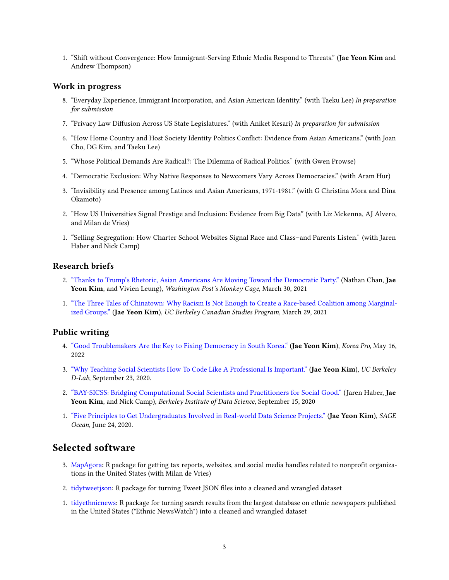1. "Shift without Convergence: How Immigrant-Serving Ethnic Media Respond to Threats." (Jae Yeon Kim and Andrew Thompson)

#### Work in progress

- 8. "Everyday Experience, Immigrant Incorporation, and Asian American Identity." (with Taeku Lee) In preparation for submission
- 7. "Privacy Law Diffusion Across US State Legislatures." (with Aniket Kesari) In preparation for submission
- 6. "How Home Country and Host Society Identity Politics Conflict: Evidence from Asian Americans." (with Joan Cho, DG Kim, and Taeku Lee)
- 5. "Whose Political Demands Are Radical?: The Dilemma of Radical Politics." (with Gwen Prowse)
- 4. "Democratic Exclusion: Why Native Responses to Newcomers Vary Across Democracies." (with Aram Hur)
- 3. "Invisibility and Presence among Latinos and Asian Americans, 1971-1981." (with G Christina Mora and Dina Okamoto)
- 2. "How US Universities Signal Prestige and Inclusion: Evidence from Big Data" (with Liz Mckenna, AJ Alvero, and Milan de Vries)
- 1. "Selling Segregation: How Charter School Websites Signal Race and Class–and Parents Listen." (with Jaren Haber and Nick Camp)

### Research briefs

- 2. ["Thanks to Trump's Rhetoric, Asian Americans Are Moving Toward the Democratic Party."](https://www.washingtonpost.com/politics/2021/03/30/thanks-trumps-rhetoric-asian-americans-are-moving-toward-democratic-party/?utm_campaign=wp_monkeycage&utm_medium=social&utm_source=twitter&tid=sm_tw_monkeycage) (Nathan Chan, Jae Yeon Kim, and Vivien Leung), Washington Post's Monkey Cage, March 30, 2021
- 1. ["The Three Tales of Chinatown: Why Racism Is Not Enough to Create a Race-based Coalition among Marginal](https://canada.berkeley.edu/three-tales-chinatown-why-racism-not-enough-create-race-based-coalition-among-marginalized-groups)[ized Groups."](https://canada.berkeley.edu/three-tales-chinatown-why-racism-not-enough-create-race-based-coalition-among-marginalized-groups) (Jae Yeon Kim), UC Berkeley Canadian Studies Program, March 29, 2021

### Public writing

- 4. ["Good Troublemakers Are the Key to Fixing Democracy in South Korea."](https://www.nknews.org/pro/good-troublemakers-are-the-key-to-fixing-democracy-in-south-korea/?t=1660440015387) (Jae Yeon Kim), Korea Pro, May 16, 2022
- 3. ["Why Teaching Social Scientists How To Code Like A Professional Is Important."](https://dlab.berkeley.edu/news/why-teaching-social-scientists-how-code-professional-important) (Jae Yeon Kim), UC Berkeley D-Lab, September 23, 2020.
- 2. ["BAY-SICSS: Bridging Computational Social Scientists and Practitioners for Social Good."](https://bids.berkeley.edu/news/bay-sicss-bridging-computational-social-scientists-and-practitioners-social-good) (Jaren Haber, Jae Yeon Kim, and Nick Camp), Berkeley Institute of Data Science, September 15, 2020
- 1. ["Five Principles to Get Undergraduates Involved in Real-world Data Science Projects."](https://ocean.sagepub.com/blog/skills/5-principles-to-get-undergraduates-involved-in-real-world-data-science-projects) (Jae Yeon Kim), SAGE Ocean, June 24, 2020.

## Selected software

- 3. [MapAgora:](https://snfagora.github.io/MapAgora/) R package for getting tax reports, websites, and social media handles related to nonprofit organizations in the United States (with Milan de Vries)
- 2. [tidytweetjson:](https://jaeyk.github.io/tidytweetjson/) R package for turning Tweet JSON files into a cleaned and wrangled dataset
- 1. [tidyethnicnews:](https://jaeyk.github.io/tidyethnicnews/) R package for turning search results from the largest database on ethnic newspapers published in the United States ("Ethnic NewsWatch") into a cleaned and wrangled dataset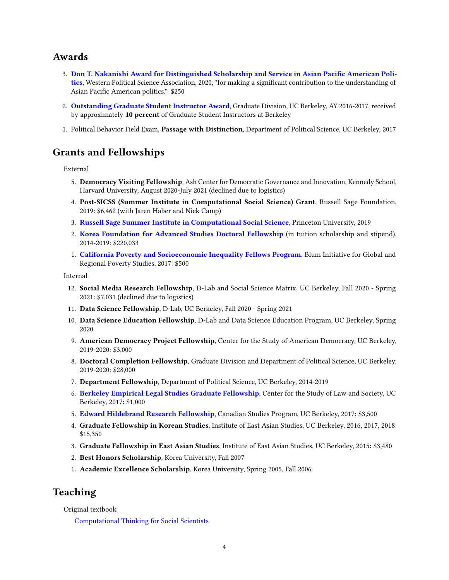### Awards

- 3. Don T. Nakanishi Award for Distinguished Scholarship and Service in Asian Pacific American Poli[tics](https://www.wpsanet.org/award/), Western Political Science Association, 2020, "for making a significant contribution to the understanding of Asian Pacific American politics.": \$250
- 2. [Outstanding Graduate Student Instructor Award](https://gsi.berkeley.edu/programs-services/award-programs/ogsi/ogsi-2017/), Graduate Division, UC Berkeley, AY 2016-2017, received by approximately 10 percent of Graduate Student Instructors at Berkeley
- 1. Political Behavior Field Exam, Passage with Distinction, Department of Political Science, UC Berkeley, 2017

# Grants and Fellowships

External

- 5. Democracy Visiting Fellowship, Ash Center for Democratic Governance and Innovation, Kennedy School, Harvard University, August 2020-July 2021 (declined due to logistics)
- 4. Post-SICSS (Summer Institute in Computational Social Science) Grant, Russell Sage Foundation, 2019: \$6,462 (with Jaren Haber and Nick Camp)
- 3. [Russell Sage Summer Institute in Computational Social Science](https://compsocialscience.github.io/summer-institute/2019/), Princeton University, 2019
- 2. [Korea Foundation for Advanced Studies Doctoral Fellowship](http://www.kfas.or.kr/ScholarShip/ScholarShip0201.aspx?pCulture=en) (in tuition scholarship and stipend), 2014-2019: \$220,033
- 1. [California Poverty and Socioeconomic Inequality Fellows Program](https://blum.ucr.edu/research/fellows), Blum Initiative for Global and Regional Poverty Studies, 2017: \$500

Internal

- 12. Social Media Research Fellowship, D-Lab and Social Science Matrix, UC Berkeley, Fall 2020 Spring 2021: \$7,031 (declined due to logistics)
- 11. Data Science Fellowship, D-Lab, UC Berkeley, Fall 2020 Spring 2021
- 10. Data Science Education Fellowship, D-Lab and Data Science Education Program, UC Berkeley, Spring 2020
- 9. American Democracy Project Fellowship, Center for the Study of American Democracy, UC Berkeley, 2019-2020: \$3,000
- 8. Doctoral Completion Fellowship, Graduate Division and Department of Political Science, UC Berkeley, 2019-2020: \$28,000
- 7. Department Fellowship, Department of Political Science, UC Berkeley, 2014-2019
- 6. [Berkeley Empirical Legal Studies Graduate Fellowship](https://www.law.berkeley.edu/research/center-for-the-study-of-law-society/bels-fellows/), Center for the Study of Law and Society, UC Berkeley, 2017: \$1,000
- 5. [Edward Hildebrand Research Fellowship](https://canada.berkeley.edu/edward-hildebrand-research-fellowship), Canadian Studies Program, UC Berkeley, 2017: \$3,500
- 4. Graduate Fellowship in Korean Studies, Institute of East Asian Studies, UC Berkeley, 2016, 2017, 2018: \$15,350
- 3. Graduate Fellowship in East Asian Studies, Institute of East Asian Studies, UC Berkeley, 2015: \$3,480
- 2. Best Honors Scholarship, Korea University, Fall 2007
- 1. Academic Excellence Scholarship, Korea University, Spring 2005, Fall 2006

## Teaching

Original textbook

[Computational Thinking for Social Scientists](https://jaeyk.github.io/comp_thinking_social_science/)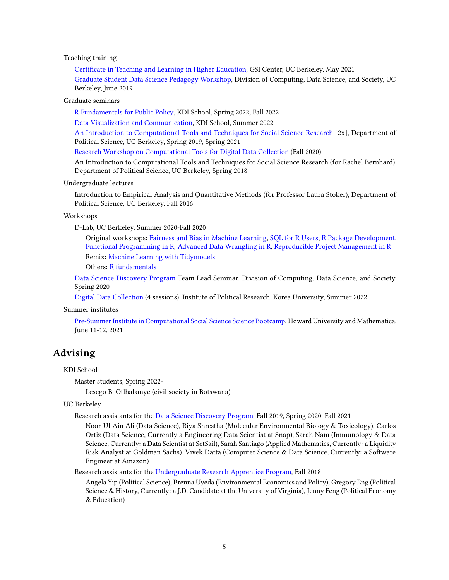Teaching training

Certificate in Teaching and Learning in Higher Education, GSI Center, UC Berkeley, May 2021 [Graduate Student Data Science Pedagogy Workshop,](https://data.berkeley.edu/news/graduate-student-data-science-pedagogy-workshop) Division of Computing, Data Science, and Society, UC Berkeley, June 2019

Graduate seminars

[R Fundamentals for Public Policy,](https://github.com/KDIS-DSPPM/r-fundamentals) KDI School, Spring 2022, Fall 2022

[Data Visualization and Communication,](https://github.com/KDIS-DSPPM/data-visualization) KDI School, Summer 2022

[An Introduction to Computational Tools and Techniques for Social Science Research](https://github.com/PS239T/spring_2021) [2x], Department of Political Science, UC Berkeley, Spring 2019, Spring 2021

[Research Workshop on Computational Tools for Digital Data Collection](https://github.com/jaeyk/digital_data_collection_workshop) (Fall 2020)

An Introduction to Computational Tools and Techniques for Social Science Research (for Rachel Bernhard), Department of Political Science, UC Berkeley, Spring 2018

Undergraduate lectures

Introduction to Empirical Analysis and Quantitative Methods (for Professor Laura Stoker), Department of Political Science, UC Berkeley, Fall 2016

Workshops

D-Lab, UC Berkeley, Summer 2020-Fall 2020

Original workshops: [Fairness and Bias in Machine Learning,](https://dlab-berkeley.github.io/fairML/) [SQL for R Users,](https://github.com/dlab-berkeley/sql-for-r-users) [R Package Development,](https://github.com/dlab-berkeley/R-package-development) [Functional Programming in R,](https://github.com/dlab-berkeley/R-functional-programming) [Advanced Data Wrangling in R,](https://github.com/dlab-berkeley/advanced-data-wrangling-in-R) [Reproducible Project Management in R](https://github.com/dlab-berkeley/efficient-reproducible-project-management-in-R) Remix: [Machine Learning with Tidymodels](https://github.com/dlab-berkeley/Machine-Learning-with-tidymodels)

Others: [R fundamentals](https://github.com/dlab-berkeley/R-Fundamentals)

[Data Science Discovery Program](https://data.berkeley.edu/research/discovery-program-home) Team Lead Seminar, Division of Computing, Data Science, and Society, Spring 2020

[Digital Data Collection](https://github.com/jaeyk/summer_digital_data_collection) (4 sessions), Institute of Political Research, Korea University, Summer 2022

Summer institutes

[Pre-Summer Institute in Computational Social Science Science Bootcamp,](https://github.com/jaeyk/sicss-howard-r-boot-camp) Howard University and Mathematica, June 11-12, 2021

### Advising

#### KDI School

Master students, Spring 2022-

Lesego B. Otlhabanye (civil society in Botswana)

UC Berkeley

Research assistants for the [Data Science Discovery Program,](https://data.berkeley.edu/research/discovery) Fall 2019, Spring 2020, Fall 2021

Noor-Ul-Ain Ali (Data Science), Riya Shrestha (Molecular Environmental Biology & Toxicology), Carlos Ortiz (Data Science, Currently a Engineering Data Scientist at Snap), Sarah Nam (Immunology & Data Science, Currently: a Data Scientist at SetSail), Sarah Santiago (Applied Mathematics, Currently: a Liquidity Risk Analyst at Goldman Sachs), Vivek Datta (Computer Science & Data Science, Currently: a Software Engineer at Amazon)

Research assistants for the [Undergraduate Research Apprentice Program,](https://urap.berkeley.edu/) Fall 2018

Angela Yip (Political Science), Brenna Uyeda (Environmental Economics and Policy), Gregory Eng (Political Science & History, Currently: a J.D. Candidate at the University of Virginia), Jenny Feng (Political Economy & Education)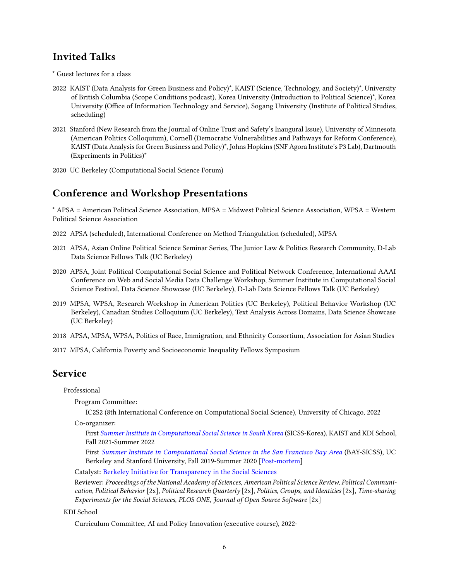## Invited Talks

\* Guest lectures for a class

- 2022 KAIST (Data Analysis for Green Business and Policy)\*, KAIST (Science, Technology, and Society)\*, University of British Columbia (Scope Conditions podcast), Korea University (Introduction to Political Science)\*, Korea University (Office of Information Technology and Service), Sogang University (Institute of Political Studies, scheduling)
- 2021 Stanford (New Research from the Journal of Online Trust and Safety's Inaugural Issue), University of Minnesota (American Politics Colloquium), Cornell (Democratic Vulnerabilities and Pathways for Reform Conference), KAIST (Data Analysis for Green Business and Policy)\*, Johns Hopkins (SNF Agora Institute's P3 Lab), Dartmouth (Experiments in Politics)\*
- 2020 UC Berkeley (Computational Social Science Forum)

## Conference and Workshop Presentations

\* APSA = American Political Science Association, MPSA = Midwest Political Science Association, WPSA = Western Political Science Association

- 2022 APSA (scheduled), International Conference on Method Triangulation (scheduled), MPSA
- 2021 APSA, Asian Online Political Science Seminar Series, The Junior Law & Politics Research Community, D-Lab Data Science Fellows Talk (UC Berkeley)
- 2020 APSA, Joint Political Computational Social Science and Political Network Conference, International AAAI Conference on Web and Social Media Data Challenge Workshop, Summer Institute in Computational Social Science Festival, Data Science Showcase (UC Berkeley), D-Lab Data Science Fellows Talk (UC Berkeley)
- 2019 MPSA, WPSA, Research Workshop in American Politics (UC Berkeley), Political Behavior Workshop (UC Berkeley), Canadian Studies Colloquium (UC Berkeley), Text Analysis Across Domains, Data Science Showcase (UC Berkeley)
- 2018 APSA, MPSA, WPSA, Politics of Race, Immigration, and Ethnicity Consortium, Association for Asian Studies
- 2017 MPSA, California Poverty and Socioeconomic Inequality Fellows Symposium

## Service

Professional

Program Committee:

IC2S2 (8th International Conference on Computational Social Science), University of Chicago, 2022

Co-organizer:

First [Summer Institute in Computational Social Science in South Korea](https://sicss.io/2022/korea/) (SICSS-Korea), KAIST and KDI School, Fall 2021-Summer 2022

First [Summer Institute in Computational Social Science in the San Francisco Bay Area](https://compsocialscience.github.io/summer-institute/2020/bay_area/) (BAY-SICSS), UC Berkeley and Stanford University, Fall 2019-Summer 2020 [\[Post-mortem\]](https://msalganik.wordpress.com/2020/08/19/summer-institutes-in-computational-social-science-2020-post-mortem/#Bay-SICSS)

Catalyst: [Berkeley Initiative for Transparency in the Social Sciences](https://www.bitss.org/people/jae-yeon/)

Reviewer: Proceedings of the National Academy of Sciences, American Political Science Review, Political Communication, Political Behavior [2x], Political Research Quarterly [2x], Politics, Groups, and Identities [2x], Time-sharing Experiments for the Social Sciences, PLOS ONE, Journal of Open Source Software [2x]

KDI School

Curriculum Committee, AI and Policy Innovation (executive course), 2022-